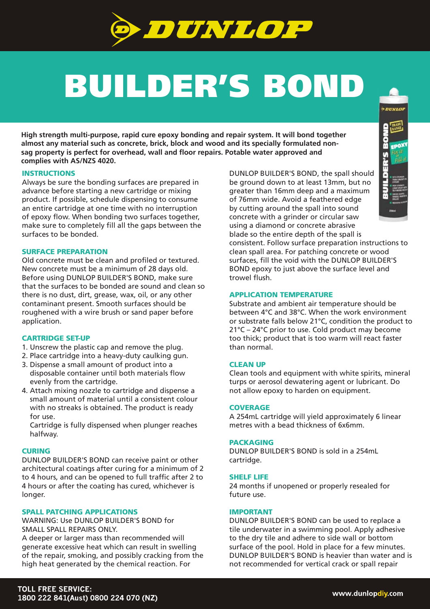

# BUILDER'S BOND

**High strength multi-purpose, rapid cure epoxy bonding and repair system. It will bond together almost any material such as concrete, brick, block and wood and its specially formulated nonsag property is perfect for overhead, wall and floor repairs. Potable water approved and complies with AS/NZS 4020.**

### **INSTRUCTIONS**

Always be sure the bonding surfaces are prepared in advance before starting a new cartridge or mixing product. If possible, schedule dispensing to consume an entire cartridge at one time with no interruption of epoxy flow. When bonding two surfaces together, make sure to completely fill all the gaps between the surfaces to be bonded.

### SURFACE PREPARATION

Old concrete must be clean and profiled or textured. New concrete must be a minimum of 28 days old. Before using DUNLOP BUILDER'S BOND, make sure that the surfaces to be bonded are sound and clean so there is no dust, dirt, grease, wax, oil, or any other contaminant present. Smooth surfaces should be roughened with a wire brush or sand paper before application.

# CARTRIDGE SET-UP

- 1. Unscrew the plastic cap and remove the plug.
- 2. Place cartridge into a heavy-duty caulking gun.
- 3. Dispense a small amount of product into a disposable container until both materials flow evenly from the cartridge.
- 4. Attach mixing nozzle to cartridge and dispense a small amount of material until a consistent colour with no streaks is obtained. The product is ready for use.

Cartridge is fully dispensed when plunger reaches halfway.

#### **CURING**

DUNLOP BUILDER'S BOND can receive paint or other architectural coatings after curing for a minimum of 2 to 4 hours, and can be opened to full traffic after 2 to 4 hours or after the coating has cured, whichever is longer.

## SPALL PATCHING APPLICATIONS

WARNING: Use DUNLOP BUILDER'S BOND for SMALL SPALL REPAIRS ONLY.

A deeper or larger mass than recommended will generate excessive heat which can result in swelling of the repair, smoking, and possibly cracking from the high heat generated by the chemical reaction. For

DUNLOP BUILDER'S BOND, the spall should be ground down to at least 13mm, but no greater than 16mm deep and a maximum of 76mm wide. Avoid a feathered edge by cutting around the spall into sound concrete with a grinder or circular saw using a diamond or concrete abrasive blade so the entire depth of the spall is

consistent. Follow surface preparation instructions to clean spall area. For patching concrete or wood surfaces, fill the void with the DUNLOP BUILDER'S BOND epoxy to just above the surface level and trowel flush.

## APPLICATION TEMPERATURE

Substrate and ambient air temperature should be between 4°C and 38°C. When the work environment or substrate falls below 21°C, condition the product to 21°C – 24°C prior to use. Cold product may become too thick; product that is too warm will react faster than normal.

## CLEAN UP

Clean tools and equipment with white spirits, mineral turps or aerosol dewatering agent or lubricant. Do not allow epoxy to harden on equipment.

## **COVERAGE**

A 254mL cartridge will yield approximately 6 linear metres with a bead thickness of 6x6mm.

#### **PACKAGING**

DUNLOP BUILDER'S BOND is sold in a 254mL cartridge.

#### SHELF LIFE

24 months if unopened or properly resealed for future use.

### IMPORTANT

DUNLOP BUILDER'S BOND can be used to replace a tile underwater in a swimming pool. Apply adhesive to the dry tile and adhere to side wall or bottom surface of the pool. Hold in place for a few minutes. DUNLOP BUILDER'S BOND is heavier than water and is not recommended for vertical crack or spall repair